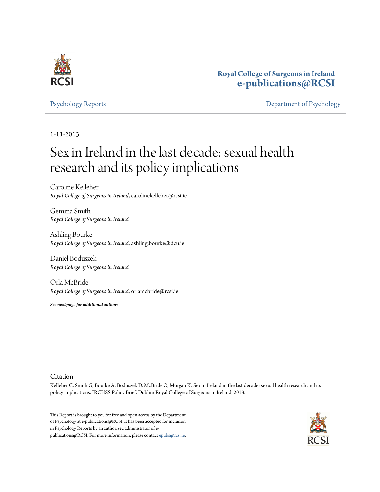

## **Royal College of Surgeons in Ireland [e-publications@RCSI](http://epubs.rcsi.ie)**

[Psychology Reports](http://epubs.rcsi.ie/psycholrep) [Department of Psychology](http://epubs.rcsi.ie/psychol)

#### 1-11-2013

# Sex in Ireland in the last decade: sexual health research and its policy implications

Caroline Kelleher *Royal College of Surgeons in Ireland*, carolinekelleher@rcsi.ie

Gemma Smith *Royal College of Surgeons in Ireland*

Ashling Bourke *Royal College of Surgeons in Ireland*, ashling.bourke@dcu.ie

Daniel Boduszek *Royal College of Surgeons in Ireland*

Orla McBride *Royal College of Surgeons in Ireland*, orlamcbride@rcsi.ie

*See next page for additional authors*

#### Citation

Kelleher C, Smith G, Bourke A, Boduszek D, McBride O, Morgan K. Sex in Ireland in the last decade: sexual health research and its policy implications. IRCHSS Policy Brief. Dublin: Royal College of Surgeons in Ireland, 2013.

This Report is brought to you for free and open access by the Department of Psychology at e-publications@RCSI. It has been accepted for inclusion in Psychology Reports by an authorized administrator of epublications@RCSI. For more information, please contact [epubs@rcsi.ie](mailto:epubs@rcsi.ie).

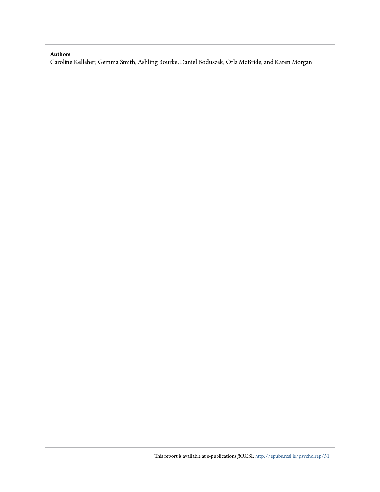#### **Authors**

Caroline Kelleher, Gemma Smith, Ashling Bourke, Daniel Boduszek, Orla McBride, and Karen Morgan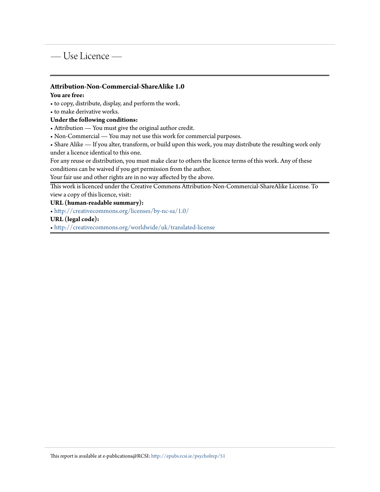# — Use Licence —

#### **Attribution-Non-Commercial-ShareAlike 1.0**

#### **You are free:**

• to copy, distribute, display, and perform the work.

• to make derivative works.

#### **Under the following conditions:**

• Attribution — You must give the original author credit.

• Non-Commercial — You may not use this work for commercial purposes.

• Share Alike — If you alter, transform, or build upon this work, you may distribute the resulting work only under a licence identical to this one.

For any reuse or distribution, you must make clear to others the licence terms of this work. Any of these conditions can be waived if you get permission from the author.

Your fair use and other rights are in no way affected by the above.

This work is licenced under the Creative Commons Attribution-Non-Commercial-ShareAlike License. To view a copy of this licence, visit:

#### **URL (human-readable summary):**

• <http://creativecommons.org/licenses/by-nc-sa/1.0/>

#### **URL (legal code):**

• <http://creativecommons.org/worldwide/uk/translated-license>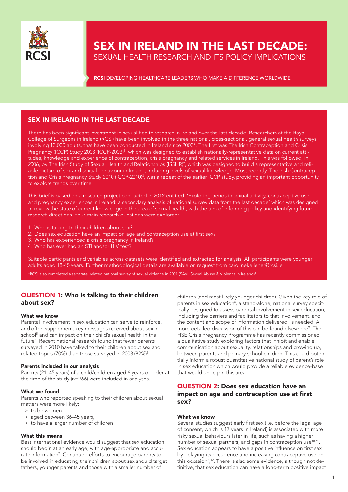

# SEX IN IRELAND IN THE LAST DECADE: SEXUAL HEALTH RESEARCH AND ITS POLICY IMPLICATIONS

**RCSI** DEVELOPING HEALTHCARE LEADERS WHO MAKE A DIFFERENCE WORLDWIDE

### SEX IN IRELAND IN THE LAST DECADE

There has been significant investment in sexual health research in Ireland over the last decade. Researchers at the Royal College of Surgeons in Ireland (RCSI) have been involved in the three national, cross-sectional, general sexual health surveys, involving 13,000 adults, that have been conducted in Ireland since 2003\*. The first was The Irish Contraception and Crisis Pregnancy (ICCP) Study 2003 (ICCP-2003)<sup>1</sup>, which was designed to establish nationally-representative data on current attitudes, knowledge and experience of contraception, crisis pregnancy and related services in Ireland. This was followed, in 2006, by The Irish Study of Sexual Health and Relationships (ISSHR)<sup>2</sup>, which was designed to build a representative and reliable picture of sex and sexual behaviour in Ireland, including levels of sexual knowledge. Most recently, The Irish Contraception and Crisis Pregnancy Study 2010 (ICCP-2010)<sup>3</sup>, was a repeat of the earlier ICCP study, providing an important opportunity to explore trends over time.

This brief is based on a research project conducted in 2012 entitled: 'Exploring trends in sexual activity, contraceptive use, and pregnancy experiences in Ireland: a secondary analysis of national survey data from the last decade' which was designed to review the state of current knowledge in the area of sexual health, with the aim of informing policy and identifying future research directions. Four main research questions were explored:

- 1. Who is talking to their children about sex?
- 2. Does sex education have an impact on age and contraception use at first sex?
- 3. Who has experienced a crisis pregnancy in Ireland?
- 4. Who has ever had an STI and/or HIV test?

Suitable participants and variables across datasets were identified and extracted for analysis. All participants were younger adults aged 18-45 years. Further methodological details are available on request from carolinekelleher@rcsi.ie

\*RCSI also completed a separate, related national survey of sexual violence in 2001 (SAVI: Sexual Abuse & Violence in Ireland)4

#### QUESTION 1: Who is talking to their children about sex?

#### What we know

Parental involvement in sex education can serve to reinforce, and often supplement, key messages received about sex in school<sup>5</sup> and can impact on their child's sexual health in the future<sup>6</sup>. Recent national research found that fewer parents surveyed in 2010 have talked to their children about sex and related topics (70%) than those surveyed in 2003 (82%)<sup>3</sup>.

#### Parents included in our analysis

Parents (21–45 years) of a child/children aged 6 years or older at the time of the study (n=966) were included in analyses.

#### What we found

Parents who reported speaking to their children about sexual matters were more likely:

- > to be women
- > aged between 36–45 years,
- > to have a larger number of children

#### What this means

Best international evidence would suggest that sex education should begin at an early age, with age-appropriate and accurate information<sup>7</sup>. Continued efforts to encourage parents to be involved in educating their children about sex should target fathers, younger parents and those with a smaller number of

children (and most likely younger children). Given the key role of parents in sex education<sup>8</sup>, a stand-alone, national survey specifically designed to assess parental involvement in sex education, including the barriers and facilitators to that involvement, and the content and scope of information delivered, is needed. A more detailed discussion of this can be found elsewhere<sup>9</sup>. The HSE Crisis Pregnancy Programme has recently commissioned a qualitative study exploring factors that inhibit and enable communication about sexuality, relationships and growing up, between parents and primary school children. This could potentially inform a robust quantitative national study of parent's role in sex education which would provide a reliable evidence-base that would underpin this area.

#### QUESTION 2: Does sex education have an impact on age and contraception use at first sex?

#### What we know

Several studies suggest early first sex (i.e. before the legal age of consent, which is 17 years in Ireland) is associated with more risky sexual behaviours later in life, such as having a higher number of sexual partners, and gaps in contraception use10-11. Sex education appears to have a positive influence on first sex by delaying its occurrence and increasing contraceptive use on this occasion<sup>2</sup>,<sup>12</sup>. There is also some evidence, although not definitive, that sex education can have a long-term positive impact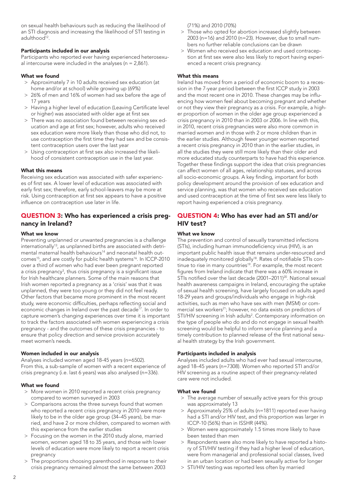on sexual health behaviours such as reducing the likelihood of an STI diagnosis and increasing the likelihood of STI testing in adulthood<sup>12</sup>.

#### Participants included in our analysis

Participants who reported ever having experienced heterosexual intercourse were included in the analyses ( $n = 2,861$ ).

#### What we found

- > Approximately 7 in 10 adults received sex education (at home and/or at school) while growing up (69%)
- > 26% of men and 16% of women had sex before the age of 17 years
- > Having a higher level of education (Leaving Certificate level or higher) was associated with older age at first sex
- > There was no association found between receiving sex education and age at first sex; however, adults who received sex education were more likely than those who did not, to use contraception the first time they had sex and be consistent contraception users over the last year
- > Using contraception at first sex also increased the likelihood of consistent contraception use in the last year.

#### What this means

Receiving sex education was associated with safer experiences of first sex. A lower level of education was associated with early first sex; therefore, early school-leavers may be more at risk. Using contraception at first sex appears to have a positive influence on contraception use later in life.

#### QUESTION 3: Who has experienced a crisis pregnancy in Ireland?

#### What we know

Preventing unplanned or unwanted pregnancies is a challenge internationally<sup>13</sup>, as unplanned births are associated with detrimental maternal health behaviours<sup>14</sup> and neonatal health outcomes<sup>15</sup>, and are costly for public health systems<sup>16</sup>. In ICCP-2010 over a third of women who had ever been pregnant reported a crisis pregnancy<sup>3</sup>, thus crisis pregnancy is a significant issue for Irish healthcare planners. Some of the main reasons that Irish women reported a pregnancy as a 'crisis' was that it was unplanned, they were too young or they did not feel ready. Other factors that became more prominent in the most recent study, were economic difficulties, perhaps reflecting social and economic changes in Ireland over the past decade<sup>17</sup>. In order to capture women's changing experiences over time it is important to track the factors associated with women experiencing a crisis pregnancy - and the outcomes of these crisis pregnancies - to ensure that policy direction and service provision accurately meet women's needs.

#### Women included in our analysis

Analyses included women aged 18-45 years (n=6502). From this, a sub-sample of women with a recent experience of crisis pregnancy (i.e. last 6 years) was also analysed (n=336).

#### What we found

- > More women in 2010 reported a recent crisis pregnancy compared to women surveyed in 2003
- > Comparisons across the three surveys found that women who reported a recent crisis pregnancy in 2010 were more likely to be in the older age group (34–45 years), be married, and have 2 or more children, compared to women with this experience from the earlier studies
- > Focusing on the women in the 2010 study alone, married women, women aged 18 to 35 years, and those with lower levels of education were more likely to report a recent crisis pregnancy
- > The proportions choosing parenthood in response to their crisis pregnancy remained almost the same between 2003

(71%) and 2010 (70%)

- > Those who opted for abortion increased slightly between 2003 (n=16) and 2010 (n=23). However, due to small numbers no further reliable conclusions can be drawn
- > Women who received sex education and used contraception at first sex were also less likely to report having experienced a recent crisis pregnancy.

#### What this means

Ireland has moved from a period of economic boom to a recession in the 7-year period between the first ICCP study in 2003 and the most recent one in 2010. These changes may be influencing how women feel about becoming pregnant and whether or not they view their pregnancy as a crisis. For example, a higher proportion of women in the older age group experienced a crisis pregnancy in 2010 than in 2003 or 2006. In line with this, in 2010, recent crisis pregnancies were also more common in married women and in those with 2 or more children than in the earlier studies. Although fewer younger women reported a recent crisis pregnancy in 2010 than in the earlier studies, in all the studies they were still more likely than their older and more educated study counterparts to have had this experience. Together these findings support the idea that crisis pregnancies can affect women of all ages, relationship statuses, and across all socio-economic groups. A key finding, important for both policy development around the provision of sex education and service planning, was that women who received sex education and used contraception at the time of first sex were less likely to report having experienced a crisis pregnancy.

#### QUESTION 4: Who has ever had an STI and/or HIV test?

#### What we know

The prevention and control of sexually transmitted infections (STIs), including human immunodeficiency virus (HIV), is an important public health issue that remains under-resourced and inadequately monitored globally<sup>18</sup>. Rates of notifiable STIs continue to rise in many countries<sup>19</sup>. For example, the most recent figures from Ireland indicate that there was a 60% increase in STIs notified over the last decade (2001–2011)<sup>20</sup>. National sexual health awareness campaigns in Ireland, encouraging the uptake of sexual health screening, have largely focused on adults aged 18-29 years and groups/individuals who engage in high-risk activities, such as men who have sex with men (MSM) or commercial sex workers<sup>21</sup>; however, no data exists on predictors of STI/HIV screening in Irish adults<sup>2</sup>. Contemporary information on the type of people who do and do not engage in sexual health screening would be helpful to inform service planning and a timely contribution to planned release of the first national sexual health strategy by the Irish government.

#### Participants included in analysis

Analyses included adults who had ever had sexual intercourse, aged 18–45 years (n=7308). Women who reported STI and/or HIV screening as a routine aspect of their pregnancy-related care were not included.

#### What we found

- > The average number of sexually active years for this group was approximately 13
- > Approximately 25% of adults (n=1811) reported ever having had a STI and/or HIV test, and this proportion was larger in ICCP-10 (56%) than in ISSHR (44%).
- > Women were approximately 1.5 times more likely to have been tested than men
- > Respondents were also more likely to have reported a history of STI/HIV testing if they had a higher level of education, were from managerial and professional social classes, lived in an urban location or had been sexually active for longer
- > STI/HIV testing was reported less often by married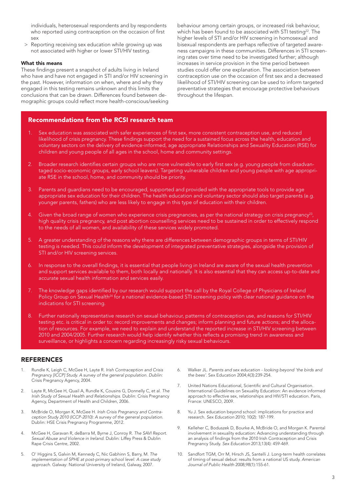individuals, heterosexual respondents and by respondents who reported using contraception on the occasion of first sex

> Reporting receiving sex education while growing up was not associated with higher or lower STI/HIV testing.

#### What this means

These findings present a snapshot of adults living in Ireland who have and have not engaged in STI and/or HIV screening in the past. However, information on when, where and why they engaged in this testing remains unknown and this limits the conclusions that can be drawn. Differences found between demographic groups could reflect more health-conscious/seeking behaviour among certain groups, or increased risk behaviour, which has been found to be associated with STI testing<sup>22</sup>. The higher levels of STI and/or HIV screening in homosexual and bisexual respondents are perhaps reflective of targeted awareness campaigns in these communities. Differences in STI screening rates over time need to be investigated further; although increases in service provision in the time period between studies could offer one explanation. The association between contraception use on the occasion of first sex and a decreased likelihood of STI/HIV screening can be used to inform targeted preventative strategies that encourage protective behaviours throughout the lifespan.

#### Recommendations from the RCSI research team

- 1. Sex education was associated with safer experiences of first sex, more consistent contraception use, and reduced likelihood of crisis pregnancy. These findings support the need for a sustained focus across the health, education and voluntary sectors on the delivery of evidence-informed, age appropriate Relationships and Sexuality Education (RSE) for children and young people of all ages in the school, home and community settings.
- 2. Broader research identifies certain groups who are more vulnerable to early first sex (e.g. young people from disadvantaged socio-economic groups, early school leavers). Targeting vulnerable children and young people with age appropriate RSE in the school, home, and community should be priority.
- 3. Parents and guardians need to be encouraged, supported and provided with the appropriate tools to provide age appropriate sex education for their children. The health education and voluntary sector should also target parents (e.g. younger parents, fathers) who are less likely to engage in this type of education with their children.
- 4. Given the broad range of women who experience crisis pregnancies, as per the national strategy on crisis pregnancy<sup>23</sup>, high quality crisis pregnancy, and post abortion counselling services need to be sustained in order to effectively respond to the needs of all women, and availability of these services widely promoted.
- 5. A greater understanding of the reasons why there are differences between demographic groups in terms of STI/HIV testing is needed. This could inform the development of integrated preventative strategies, alongside the provision of STI and/or HIV screening services.
- 6. In response to the overall findings, it is essential that people living in Ireland are aware of the sexual health prevention and support services available to them, both locally and nationally. It is also essential that they can access up-to-date and accurate sexual health information and services easily.
- 7. The knowledge gaps identified by our research would support the call by the Royal College of Physicians of Ireland Policy Group on Sexual Health<sup>24</sup> for a national evidence-based STI screening policy with clear national guidance on the indications for STI screening.
- 8. Further nationally representative research on sexual behaviour, patterns of contraception use, and reasons for STI/HIV testing etc. is critical in order to: record improvements and changes; inform planning and future actions; and the allocation of resources. For example, we need to explain and understand the reported increase in STI/HIV screening between 2010 and 2004/2005. Further research would help identify whether this reflects a promising trend in awareness and surveillance, or highlights a concern regarding increasingly risky sexual behaviours.

#### **REFERENCES**

- 1. Rundle K, Leigh C, McGee H, Layte R. *Irish Contraception and Crisis Pregnancy [ICCP] Study. A survey of the general population. Dublin:* Crisis Pregnancy Agency, 2004.
- 2. Layte R, McGee H, Quail A, Rundle K, Cousins G, Donnelly C, et al. *The Irish Study of Sexual Health and Relationships*. Dublin: Crisis Pregnancy Agency, Department of Health and Children, 2006.
- 3. McBride O, Morgan K, McGee H. *Irish Crisis Pregnancy and Contraception Study 2010 (ICCP-2010): A survey of the general population*. Dublin: HSE Crisis Pregnancy Programme, 2012.
- 4. McGee H, Garavan R, deBarra M, Byrne J, Conroy R. *The SAVI Report. Sexual Abuse and Violence in Ireland*. Dublin: Liffey Press & Dublin Rape Crisis Centre, 2002.
- 5. O' Higgins S, Galvin M, Kennedy C, Nic Gabhinn S, Barry, M. *The implementation of SPHE at post-primary school level: A case study approach*. Galway: National University of Ireland, Galway, 2007.
- 6. Walker JL. *Parents and sex education looking beyond 'the birds and the bees'*. Sex Education 2004;4(3):239-254.
- 7. United Nations Educational, Scientific and Cultural Organisation. International Guidelines on Sexuality Education: An evidence informed approach to effective sex, relationships and HIV/STI education. Paris, France: UNESCO, 2009.
- 8. Yu J. Sex education beyond school: implications for practice and research. *Sex Education* 2010; 10(2): 187-199.
- 9. Kelleher C, Boduszek D, Bourke A, McBride O, and Morgan K. Parental involvement in sexuality education: Advancing understanding through an analysis of findings from the 2010 Irish Contraception and Crisis Pregnancy Study. *Sex Education* 2013;13(4): 459-469.
- 10. Sandfort TGM, Orr M, Hirsch JS, Santelli J. Long-term health correlates of timing of sexual debut: results from a national US study. *American Journal of Public Health* 2008;98(1):155-61.